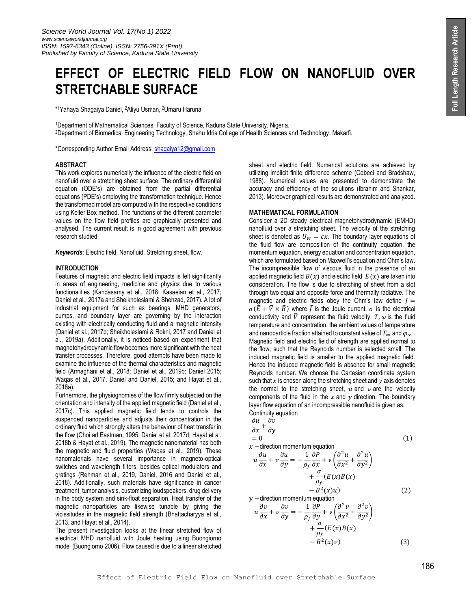# **EFFECT OF ELECTRIC FIELD FLOW ON NANOFLUID OVER STRETCHABLE SURFACE**

\* <sup>1</sup>Yahaya Shagaiya Daniel, <sup>2</sup>Aliyu Usman, <sup>2</sup>Umaru Haruna

<sup>1</sup>Department of Mathematical Sciences, Faculty of Science, Kaduna State University, Nigeria. <sup>2</sup>Department of Biomedical Engineering Technology, Shehu Idris College of Health Sciences and Technology, Makarfi.

\*Corresponding Author Email Address: [shagaiya12@gmail.com](mailto:shagaiya12@gmail.com)

#### **ABSTRACT**

This work explores numerically the influence of the electric field on nanofluid over a stretching sheet surface. The ordinary differential equation (ODE's) are obtained from the partial differential equations (PDE's) employing the transformation technique. Hence the transformed model are computed with the respective conditions using Keller Box method. The functions of the different parameter values on the flow field profiles are graphically presented and analysed. The current result is in good agreement with previous research studied.

*Keywords*: Electric field, Nanofluid, Stretching sheet, flow.

#### **INTRODUCTION**

Features of magnetic and electric field impacts is felt significantly in areas of engineering, medicine and physics due to various functionalities (Kandasamy et al., 2018; Kasaeian et al., 2017; Daniel et al., 2017a and Sheikholeslami & Shehzad, 2017). A lot of industrial equipment for such as bearings, MHD generators, pumps, and boundary layer are governing by the interaction existing with electrically conducting fluid and a magnetic intensity (Daniel et al., 2017b; Sheikholeslami & Rokni, 2017 and Daniel et al., 2019a). Additionally, it is noticed based on experiment that magnetohydrodynamic flow becomes more significant with the heat transfer processes. Therefore, good attempts have been made to examine the influence of the thermal characteristics and magnetic field (Armaghani et al., 2018; Daniel et al., 2019b; Daniel 2015; Waqas et al., 2017, Daniel and Daniel, 2015; and Hayat et al., 2018a).

Furthermore, the physiognomies of the flow firmly subjected on the orientation and intensity of the applied magnetic field (Daniel et al., 2017c). This applied magnetic field tends to controls the suspended nanoparticles and adjusts their concentration in the ordinary fluid which strongly alters the behaviour of heat transfer in the flow (Choi ad Eastman, 1995; Daniel et al. 2017d; Hayat et al. 2018b & Hayat et al., 2019). The magnetic nanomaterial has both the magnetic and fluid properties (Waqas et al., 2019). These nanomaterials have several importance in magneto-optical switches and wavelength filters, besides optical modulators and gratings (Rehman et al., 2019, Daniel, 2016 and Daniel et al., 2018). Additionally, such materials have significance in cancer treatment, tumor analysis, customizing loudspeakers, drug delivery in the body system and sink-float separation. Heat transfer of the magnetic nanoparticles are likewise tunable by giving the vicissitudes in the magnetic field strength (Bhattacharyya et al., 2013, and Hayat et al., 2014).

The present investigation looks at the linear stretched flow of electrical MHD nanofluid with Joule heating using Buongiorno model (Buongiorno 2006). Flow caused is due to a linear stretched sheet and electric field. Numerical solutions are achieved by utilizing implicit finite difference scheme (Cebeci and Bradshaw, 1988). Numerical values are presented to demonstrate the accuracy and efficiency of the solutions (Ibrahim and Shankar, 2013). Moreover graphical results are demonstrated and analyzed.

## **MATHEMATICAL FORMULATION**

Consider a 2D steady electrical magnetohydrodynamic (EMHD) nanofluid over a stretching sheet. The velocity of the stretching sheet is denoted as  $U_W = cx$ . The boundary layer equations of the fluid flow are composition of the continuity equation, the momentum equation, energy equation and concentration equation, which are formulated based on Maxwell's equation and Ohm's law. The incompressible flow of viscous fluid in the presence of an applied magnetic field  $B(x)$  and electric field  $E(x)$  are taken into consideration. The flow is due to stretching of sheet from a slot through two equal and opposite force and thermally radiative. The magnetic and electric fields obey the Ohm's law define  $\bar{I}$  =  $\sigma(\bar{E} + \bar{V} \times \bar{B})$  where  $\bar{I}$  is the Joule current,  $\sigma$  is the electrical conductivity and  $\overline{V}$  represent the fluid velocity.  $T, \varphi$  is the fluid temperature and concentration, the ambient values of temperature and nanoparticle fraction attained to constant value of  $T_{\infty}$  and  $\varphi_{\infty}$ . Magnetic field and electric field of strength are applied normal to the flow, such that the Reynolds number is selected small. The induced magnetic field is smaller to the applied magnetic field. Hence the induced magnetic field is absence for small magnetic Reynolds number. We choose the Cartesian coordinate system such that  $x$  is chosen along the stretching sheet and  $y$  axis denotes the normal to the stretching sheet,  $u$  and  $v$  are the velocity components of the fluid in the  $x$  and  $y$  direction. The boundary layer flow equation of an incompressible nanofluid is given as: Continuity equation

$$
\frac{\partial u}{\partial x} + \frac{\partial v}{\partial y} \n= 0
$$
\n
$$
u \frac{\partial u}{\partial x} + v \frac{\partial u}{\partial y} = -\frac{1}{\rho_f} \frac{\partial P}{\partial x} + v \left( \frac{\partial^2 u}{\partial x^2} + \frac{\partial^2 u}{\partial y^2} \right)
$$
\n(1)

$$
+\frac{\sigma}{\rho_f}(E(x)B(x)
$$
  
- B<sup>2</sup>(x)u)  
y -direction momentum equation  
 $\frac{\partial u}{\partial x}$ 

$$
u\frac{\partial v}{\partial x} + v\frac{\partial v}{\partial y} = -\frac{1}{\rho_f}\frac{\partial P}{\partial y} + v\left(\frac{\partial^2 v}{\partial x^2} + \frac{\partial^2 v}{\partial y^2}\right) + \frac{\sigma}{\rho_f}(E(x)B(x) - B^2(x)v)
$$
(3)

 $(2)$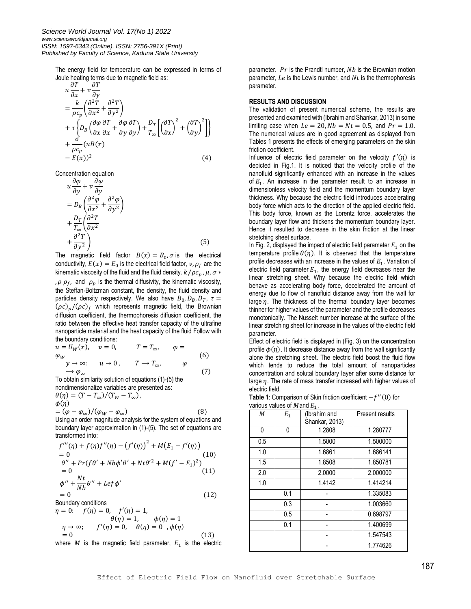The energy field for temperature can be expressed in terms of Joule heating terms due to magnetic field as:

$$
u\frac{\partial T}{\partial x} + v\frac{\partial T}{\partial y}
$$
  
=  $\frac{k}{\rho c_p} \left( \frac{\partial^2 T}{\partial x^2} + \frac{\partial^2 T}{\partial y^2} \right)$   
+  $\tau \left\{ D_B \left( \frac{\partial \varphi}{\partial x} \frac{\partial T}{\partial x} + \frac{\partial \varphi}{\partial y} \frac{\partial T}{\partial y} \right) + \frac{D_T}{T_{\infty}} \left[ \left( \frac{\partial T}{\partial x} \right)^2 + \left( \frac{\partial T}{\partial y} \right)^2 \right] \right\}$   
+  $\frac{\sigma}{\rho c_p} (uB(x)$   
-  $E(x))^2$  (4)

Concentration equation

$$
u\frac{\partial \varphi}{\partial y} + v\frac{\partial \varphi}{\partial y}
$$
  
=  $D_B \left( \frac{\partial^2 \varphi}{\partial x^2} + \frac{\partial^2 \varphi}{\partial y^2} \right)$   
+  $\frac{D_T}{T_{\infty}} \left( \frac{\partial^2 T}{\partial x^2} + \frac{\partial^2 T}{\partial y^2} \right)$  (5)

The magnetic field factor  $B(x) = B_0$ ,  $\sigma$  is the electrical conductivity,  $E(x) = E_0$  is the electrical field factor,  $v, \rho_f$  are the kinematic viscosity of the fluid and the fluid density.  $k/\rho c_p$ ,  $\mu$ ,  $\sigma *$ ,  $\rho \rho_f$ , and  $\rho_p$  is the thermal diffusivity, the kinematic viscosity, the Steffan-Boltzman constant, the density, the fluid density and particles density respectively. We also have  $B_0$ ,  $D_B$ ,  $D_T$ ,  $\tau =$  $(\rho c)_p/(\rho c)_f$  which represents magnetic field, the Brownian diffusion coefficient, the thermophoresis diffusion coefficient, the ratio between the effective heat transfer capacity of the ultrafine nanoparticle material and the heat capacity of the fluid Follow with the boundary conditions:

$$
u = U_W(x), \quad v = 0, \qquad T = T_{\infty}, \qquad \varphi =
$$
  
\n
$$
\varphi_W
$$
  
\n
$$
y \to \infty; \qquad u \to 0, \qquad T \to T_{\infty}, \qquad \varphi
$$
  
\nTo obtain a similarity solution of equations (1) (5) the

To obtain similarity solution of equations (1)-(5) the nondimensionalize variables are presented as:

$$
\begin{aligned} \theta(\eta) &= (T - T_{\infty}) / (T_W - T_{\infty}), \\ \phi(\eta) &= (\varphi - \varphi_{\infty}) / (\varphi_W - \varphi_{\infty}) \end{aligned} \tag{8}
$$

Using an order magnitude analysis for the system of equations and boundary layer approximation in (1)-(5). The set of equations are transformed into:

$$
f'''(\eta) + f(\eta)f''(\eta) - (f'(\eta))^{2} + M(E_{1} - f'(\eta))
$$
  
= 0  

$$
\theta'' + Pr(f\theta' + Nb\phi'\theta' + Nt\theta'^{2} + M(f' - E_{1})^{2})
$$
  
= 0  

$$
\phi'' + \frac{Nt}{Nb}\theta'' + Lef\phi'
$$
  
= 0 (12)

Boundary conditions

$$
\eta = 0: \quad f(\eta) = 0, \quad f'(\eta) = 1,
$$
  
\n
$$
\theta(\eta) = 1, \qquad \phi(\eta) = 1
$$
  
\n
$$
\eta \to \infty; \qquad f'(\eta) = 0, \quad \theta(\eta) = 0 \quad , \phi(\eta)
$$
  
\n
$$
= 0 \tag{13}
$$
  
\nwhere *M* is the magnetic field parameter, *E*<sub>1</sub> is the electric

parameter.  $Pr$  is the Prandtl number,  $Nb$  is the Brownian motion parameter,  $Le$  is the Lewis number, and  $Nt$  is the thermophoresis parameter.

# **RESULTS AND DISCUSSION**

The validation of present numerical scheme, the results are presented and examined with (Ibrahim and Shankar, 2013) in some limiting case when  $Le = 20$ ,  $Nb = Nt = 0.5$ , and  $Pr = 1.0$ . The numerical values are in good agreement as displayed from Tables 1 presents the effects of emerging parameters on the skin friction coefficient.

Influence of electric field parameter on the velocity  $f'(\eta)$  is depicted in Fig.1. It is noticed that the velocity profile of the nanofluid significantly enhanced with an increase in the values of  $E_1$ . An increase in the parameter result to an increase in dimensionless velocity field and the momentum boundary layer thickness. Why because the electric field introduces accelerating body force which acts to the direction of the applied electric field. This body force, known as the Lorentz force, accelerates the boundary layer flow and thickens the momentum boundary layer. Hence it resulted to decrease in the skin friction at the linear stretching sheet surface.

In Fig. 2, displayed the impact of electric field parameter  $E_1$  on the temperature profile  $\theta(\eta)$ . It is observed that the temperature profile decreases with an increase in the values of  $E<sub>1</sub>$ . Variation of electric field parameter  $E_1$ , the energy field decreases near the linear stretching sheet. Why because the electric field which behave as accelerating body force, decelerated the amount of energy due to flow of nanofluid distance away from the wall for large  $\eta$ . The thickness of the thermal boundary layer becomes thinner for higher values of the parameter and the profile decreases monotonically. The Nusselt number increase at the surface of the linear stretching sheet for increase in the values of the electric field parameter.

Effect of electric field is displayed in (Fig. 3) on the concentration profile  $\phi(\eta)$ . It decrease distance away from the wall significantly alone the stretching sheet. The electric field boost the fluid flow which tends to reduce the total amount of nanoparticles concentration and solutal boundary layer after some distance for large  $\eta$ . The rate of mass transfer increased with higher values of electric field.

Table 1: Comparison of Skin friction coefficient  $-f''(0)$  for various values of  $M$  and  $F$ 

| М   | $v$ anous valuts of <i>I</i> ndiju $L_1$ .<br>$E_1$ | (Ibrahim and<br>Shankar, 2013) | <b>Present results</b> |
|-----|-----------------------------------------------------|--------------------------------|------------------------|
| 0   | 0                                                   | 1.2808                         | 1.280777               |
| 0.5 |                                                     | 1.5000                         | 1.500000               |
| 1.0 |                                                     | 1.6861                         | 1.686141               |
| 1.5 |                                                     | 1.8508                         | 1.850781               |
| 2.0 |                                                     | 2.0000                         | 2.000000               |
| 1.0 |                                                     | 1.4142                         | 1.414214               |
|     | 0.1                                                 |                                | 1.335083               |
|     | 0.3                                                 |                                | 1.003660               |
|     | 0.5                                                 |                                | 0.698797               |
|     | 0.1                                                 |                                | 1.400699               |
|     |                                                     |                                | 1.547543               |
|     |                                                     |                                | 1.774626               |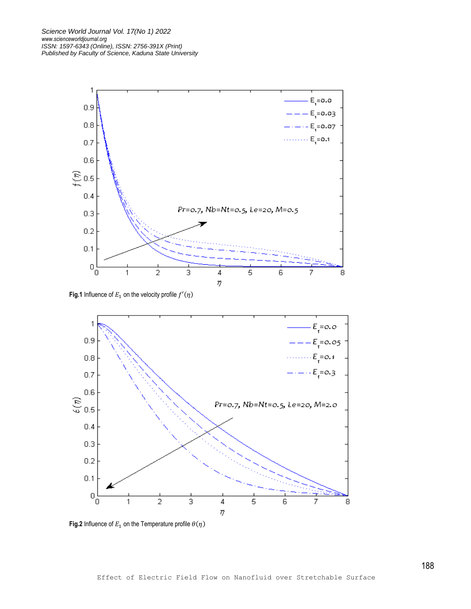

**Fig.1** Influence of  $E_1$  on the velocity profile  $f'(\eta)$ 



**Fig.2** Influence of  $E_1$  on the Temperature profile  $\theta(\eta)$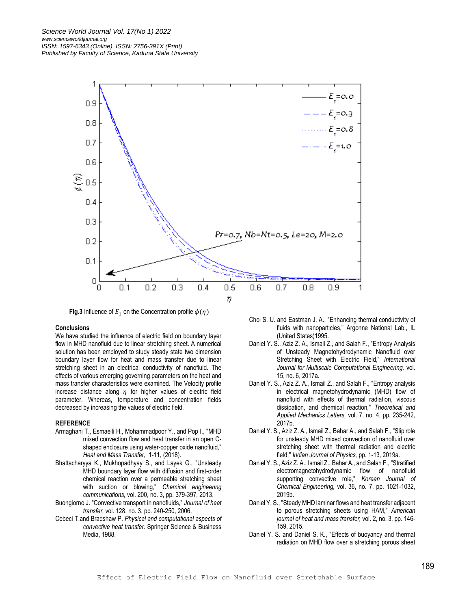

**Fig.3** Influence of  $E_1$  on the Concentration profile  $\phi(\eta)$ 

#### **Conclusions**

We have studied the influence of electric field on boundary layer flow in MHD nanofluid due to linear stretching sheet. A numerical solution has been employed to study steady state two dimension boundary layer flow for heat and mass transfer due to linear stretching sheet in an electrical conductivity of nanofluid. The effects of various emerging governing parameters on the heat and mass transfer characteristics were examined. The Velocity profile increase distance along  $\eta$  for higher values of electric field parameter. Whereas, temperature and concentration fields decreased by increasing the values of electric field.

# **REFERENCE**

- Armaghani T., Esmaeili H., Mohammadpoor Y., and Pop I., "MHD mixed convection flow and heat transfer in an open Cshaped enclosure using water-copper oxide nanofluid," *Heat and Mass Transfer,* 1-11, (2018).
- Bhattacharyya K., Mukhopadhyay S., and Layek G., "Unsteady MHD boundary layer flow with diffusion and first-order chemical reaction over a permeable stretching sheet with suction or blowing," *Chemical engineering communications,* vol. 200, no. 3, pp. 379-397, 2013.
- Buongiorno J. "Convective transport in nanofluids," *Journal of heat transfer,* vol. 128, no. 3, pp. 240-250, 2006.
- Cebeci T.and Bradshaw P. *Physical and computational aspects of convective heat transfer*. Springer Science & Business Media, 1988.
- Choi S. U. and Eastman J. A., "Enhancing thermal conductivity of fluids with nanoparticles," Argonne National Lab., IL (United States)1995.
- Daniel Y. S., Aziz Z. A., Ismail Z., and Salah F., "Entropy Analysis of Unsteady Magnetohydrodynamic Nanofluid over Stretching Sheet with Electric Field," *International Journal for Multiscale Computational Engineering,* vol. 15, no. 6, 2017a.
- Daniel Y. S., Aziz Z. A., Ismail Z., and Salah F., "Entropy analysis in electrical magnetohydrodynamic (MHD) flow of nanofluid with effects of thermal radiation, viscous dissipation, and chemical reaction," *Theoretical and Applied Mechanics Letters,* vol. 7, no. 4, pp. 235-242, 2017b.
- Daniel Y. S., Aziz Z. A., Ismail Z., Bahar A., and Salah F., "Slip role for unsteady MHD mixed convection of nanofluid over stretching sheet with thermal radiation and electric field," *Indian Journal of Physics,* pp. 1-13, 2019a.
- Daniel Y. S., Aziz Z. A., Ismail Z., Bahar A., and Salah F., "Stratified electromagnetohydrodynamic flow of nanofluid supporting convective role," *Korean Journal of Chemical Engineering,* vol. 36, no. 7, pp. 1021-1032, 2019b.
- Daniel Y. S., "Steady MHD laminar flows and heat transfer adjacent to porous stretching sheets using HAM," *American journal of heat and mass transfer,* vol. 2, no. 3, pp. 146- 159, 2015.
- Daniel Y. S. and Daniel S. K., "Effects of buoyancy and thermal radiation on MHD flow over a stretching porous sheet